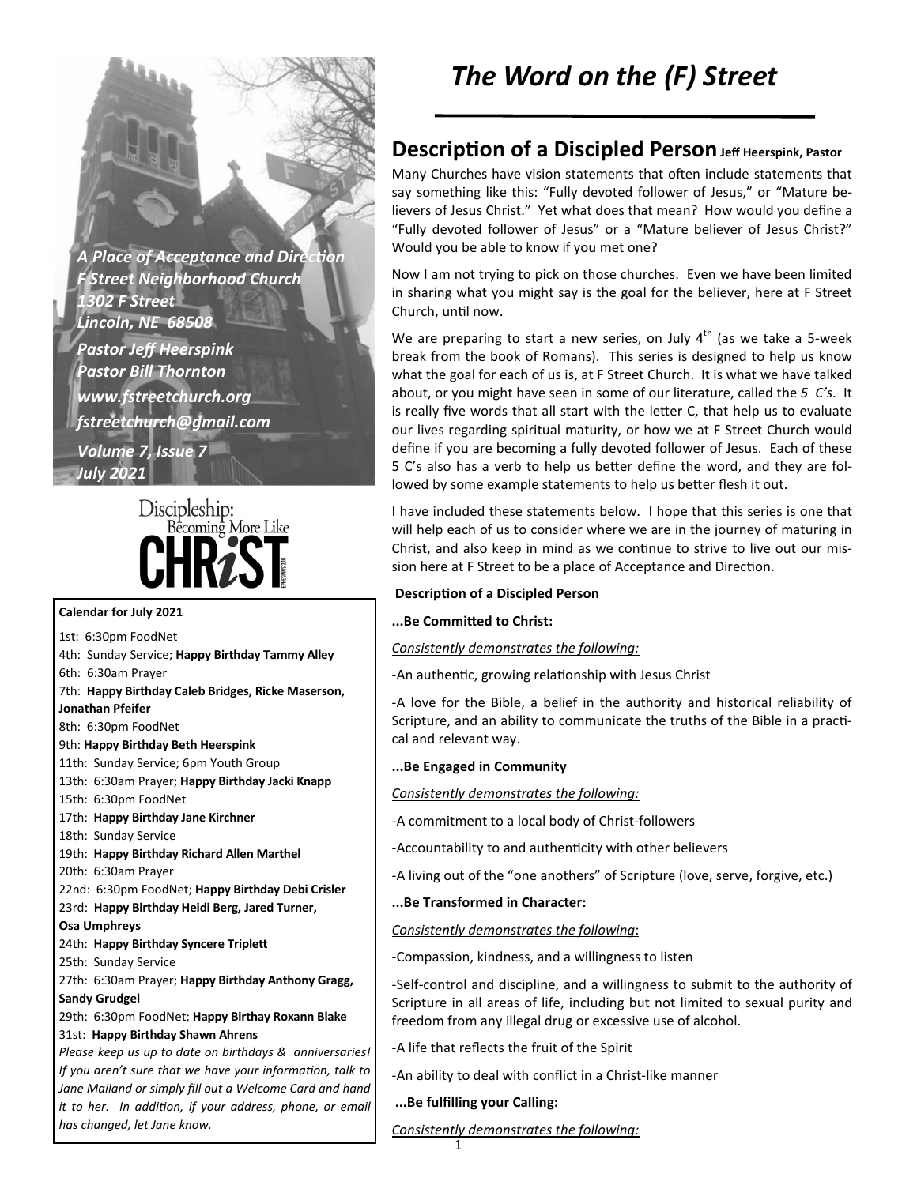**A Place of Acceptance and Direction** *F Street Neighborhood Church 1302 F Street Lincoln, NE 68508 Pastor Jeff Heerspink Pastor Bill Thornton www.fstreetchurch.org fstreetchurch@gmail.com Volume 7, Issue 7 July 2021* 

# Discipleship: Becoming More Like **HRZS**

#### **Calendar for July 2021**

1st: 6:30pm FoodNet 4th: Sunday Service; **Happy Birthday Tammy Alley** 

6th: 6:30am Prayer

- 7th: **Happy Birthday Caleb Bridges, Ricke Maserson,**
- **Jonathan Pfeifer**

8th: 6:30pm FoodNet

9th: **Happy Birthday Beth Heerspink** 

- 11th: Sunday Service; 6pm Youth Group
- 13th: 6:30am Prayer; **Happy Birthday Jacki Knapp**

15th: 6:30pm FoodNet

17th: **Happy Birthday Jane Kirchner** 

18th: Sunday Service

19th: **Happy Birthday Richard Allen Marthel** 

20th: 6:30am Prayer

- 22nd: 6:30pm FoodNet; **Happy Birthday Debi Crisler**
- 23rd: **Happy Birthday Heidi Berg, Jared Turner,**

### **Osa Umphreys**

24th: Happy Birthday Syncere Triplett

25th: Sunday Service

27th: 6:30am Prayer; **Happy Birthday Anthony Gragg, Sandy Grudgel** 

29th: 6:30pm FoodNet; **Happy Birthay Roxann Blake**  31st: **Happy Birthday Shawn Ahrens** 

*Please keep us up to date on birthdays & anniversaries! If you aren't sure that we have your information, talk to Jane Mailand or simply fill out a Welcome Card and hand it to her. In addition, if your address, phone, or email has changed, let Jane know.* 

# *The Word on the (F) Street*

## **Description of a Discipled Person** Jeff Heerspink, Pastor

Many Churches have vision statements that often include statements that say something like this: "Fully devoted follower of Jesus," or "Mature believers of Jesus Christ." Yet what does that mean? How would you define a "Fully devoted follower of Jesus" or a "Mature believer of Jesus Christ?" Would you be able to know if you met one?

Now I am not trying to pick on those churches. Even we have been limited in sharing what you might say is the goal for the believer, here at F Street Church, until now.

We are preparing to start a new series, on July  $4<sup>th</sup>$  (as we take a 5-week break from the book of Romans). This series is designed to help us know what the goal for each of us is, at F Street Church. It is what we have talked about, or you might have seen in some of our literature, called the *5 C's*. It is really five words that all start with the letter C, that help us to evaluate our lives regarding spiritual maturity, or how we at F Street Church would define if you are becoming a fully devoted follower of Jesus. Each of these 5 C's also has a verb to help us better define the word, and they are followed by some example statements to help us better flesh it out.

I have included these statements below. I hope that this series is one that will help each of us to consider where we are in the journey of maturing in Christ, and also keep in mind as we continue to strive to live out our mission here at F Street to be a place of Acceptance and Direction.

#### **Description of a Discipled Person**

...Be Committed to Christ:

*Consistently demonstrates the following:*

-An authentic, growing relationship with Jesus Christ

-A love for the Bible, a belief in the authority and historical reliability of Scripture, and an ability to communicate the truths of the Bible in a practical and relevant way.

### **...Be Engaged in Community**

*Consistently demonstrates the following:*

-A commitment to a local body of Christ-followers

-Accountability to and authenticity with other believers

-A living out of the "one anothers" of Scripture (love, serve, forgive, etc.)

### **...Be Transformed in Character:**

### *Consistently demonstrates the following*:

-Compassion, kindness, and a willingness to listen

-Self-control and discipline, and a willingness to submit to the authority of Scripture in all areas of life, including but not limited to sexual purity and freedom from any illegal drug or excessive use of alcohol.

-A life that reflects the fruit of the Spirit

-An ability to deal with conflict in a Christ-like manner

### **...Be fulfilling your Calling:**

*Consistently demonstrates the following:*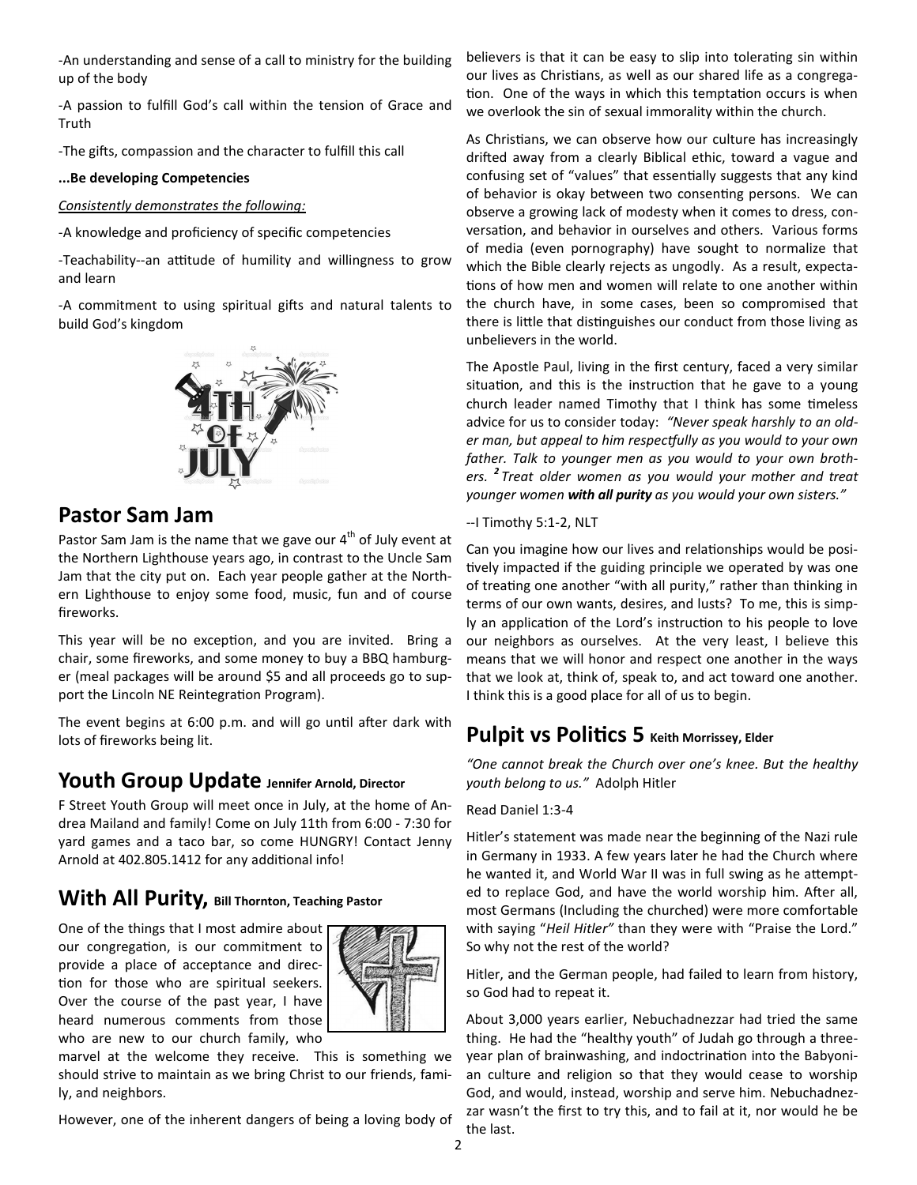-An understanding and sense of a call to ministry for the building up of the body

-A passion to fulfill God's call within the tension of Grace and Truth

-The gifts, compassion and the character to fulfill this call

#### **...Be developing Competencies**

#### *Consistently demonstrates the following:*

-A knowledge and proficiency of specific competencies

-Teachability--an attitude of humility and willingness to grow and learn

-A commitment to using spiritual gifts and natural talents to build God's kingdom



### **Pastor Sam Jam**

Pastor Sam Jam is the name that we gave our  $4<sup>th</sup>$  of July event at the Northern Lighthouse years ago, in contrast to the Uncle Sam Jam that the city put on. Each year people gather at the Northern Lighthouse to enjoy some food, music, fun and of course fireworks.

This year will be no exception, and you are invited. Bring a chair, some fireworks, and some money to buy a BBQ hamburger (meal packages will be around \$5 and all proceeds go to support the Lincoln NE Reintegration Program).

The event begins at 6:00 p.m. and will go until after dark with lots of fireworks being lit.

### **Youth Group Update Jennifer Arnold, Director**

F Street Youth Group will meet once in July, at the home of Andrea Mailand and family! Come on July 11th from 6:00 - 7:30 for yard games and a taco bar, so come HUNGRY! Contact Jenny Arnold at 402.805.1412 for any additional info!

# **With All Purity, Bill Thornton, Teaching Pastor**

One of the things that I most admire about our congregation, is our commitment to provide a place of acceptance and direction for those who are spiritual seekers. Over the course of the past year, I have heard numerous comments from those who are new to our church family, who



marvel at the welcome they receive. This is something we should strive to maintain as we bring Christ to our friends, family, and neighbors.

However, one of the inherent dangers of being a loving body of

believers is that it can be easy to slip into tolerating sin within our lives as Christians, as well as our shared life as a congregation. One of the ways in which this temptation occurs is when we overlook the sin of sexual immorality within the church.

As Christians, we can observe how our culture has increasingly drifted away from a clearly Biblical ethic, toward a vague and confusing set of "values" that essentially suggests that any kind of behavior is okay between two consenting persons. We can observe a growing lack of modesty when it comes to dress, conversation, and behavior in ourselves and others. Various forms of media (even pornography) have sought to normalize that which the Bible clearly rejects as ungodly. As a result, expectations of how men and women will relate to one another within the church have, in some cases, been so compromised that there is little that distinguishes our conduct from those living as unbelievers in the world.

The Apostle Paul, living in the first century, faced a very similar situation, and this is the instruction that he gave to a young church leader named Timothy that I think has some timeless advice for us to consider today: *"Never speak harshly to an older man, but appeal to him respectfully as you would to your own father. Talk to younger men as you would to your own brothers. <sup>2</sup> Treat older women as you would your mother and treat younger women with all purity as you would your own sisters."* 

--I Timothy 5:1-2, NLT

Can you imagine how our lives and relationships would be positively impacted if the guiding principle we operated by was one of treating one another "with all purity," rather than thinking in terms of our own wants, desires, and lusts? To me, this is simply an application of the Lord's instruction to his people to love our neighbors as ourselves. At the very least, I believe this means that we will honor and respect one another in the ways that we look at, think of, speak to, and act toward one another. I think this is a good place for all of us to begin.

### **Pulpit vs Politics 5** Keith Morrissey, Elder

*"One cannot break the Church over one's knee. But the healthy youth belong to us."* Adolph Hitler

#### Read Daniel 1:3-4

Hitler's statement was made near the beginning of the Nazi rule in Germany in 1933. A few years later he had the Church where he wanted it, and World War II was in full swing as he attempted to replace God, and have the world worship him. After all, most Germans (Including the churched) were more comfortable with saying "*Heil Hitler"* than they were with "Praise the Lord." So why not the rest of the world?

Hitler, and the German people, had failed to learn from history, so God had to repeat it.

About 3,000 years earlier, Nebuchadnezzar had tried the same thing. He had the "healthy youth" of Judah go through a threeyear plan of brainwashing, and indoctrination into the Babyonian culture and religion so that they would cease to worship God, and would, instead, worship and serve him. Nebuchadnezzar wasn't the first to try this, and to fail at it, nor would he be the last.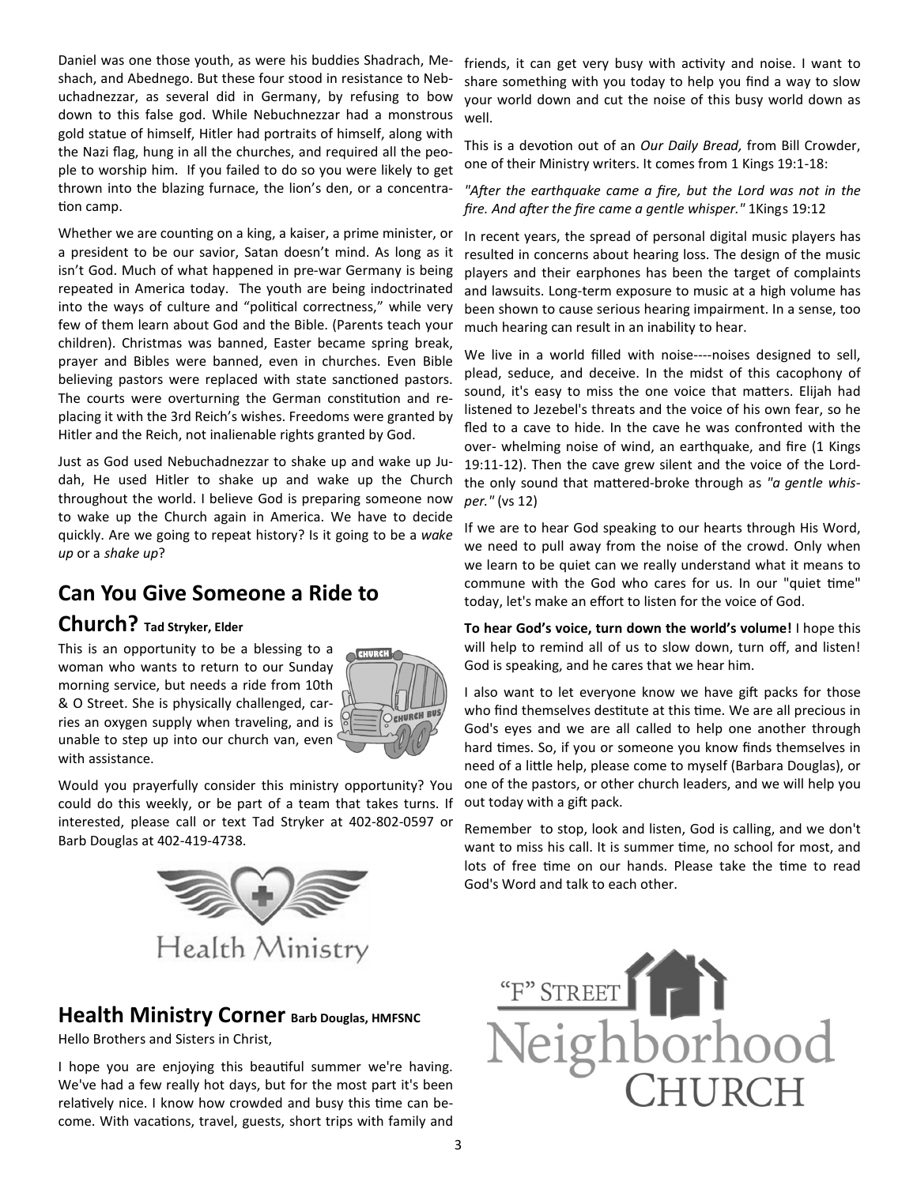Daniel was one those youth, as were his buddies Shadrach, Meshach, and Abednego. But these four stood in resistance to Nebuchadnezzar, as several did in Germany, by refusing to bow down to this false god. While Nebuchnezzar had a monstrous gold statue of himself, Hitler had portraits of himself, along with the Nazi flag, hung in all the churches, and required all the people to worship him. If you failed to do so you were likely to get thrown into the blazing furnace, the lion's den, or a concentration camp.

Whether we are counting on a king, a kaiser, a prime minister, or a president to be our savior, Satan doesn't mind. As long as it isn't God. Much of what happened in pre-war Germany is being repeated in America today. The youth are being indoctrinated into the ways of culture and "political correctness," while very few of them learn about God and the Bible. (Parents teach your children). Christmas was banned, Easter became spring break, prayer and Bibles were banned, even in churches. Even Bible believing pastors were replaced with state sanctioned pastors. The courts were overturning the German constitution and replacing it with the 3rd Reich's wishes. Freedoms were granted by Hitler and the Reich, not inalienable rights granted by God.

Just as God used Nebuchadnezzar to shake up and wake up Judah, He used Hitler to shake up and wake up the Church throughout the world. I believe God is preparing someone now to wake up the Church again in America. We have to decide quickly. Are we going to repeat history? Is it going to be a *wake up* or a *shake up*?

## **Can You Give Someone a Ride to**

### **Church? Tad Stryker, Elder**

This is an opportunity to be a blessing to a woman who wants to return to our Sunday morning service, but needs a ride from 10th & O Street. She is physically challenged, carries an oxygen supply when traveling, and is unable to step up into our church van, even with assistance.



Would you prayerfully consider this ministry opportunity? You could do this weekly, or be part of a team that takes turns. If interested, please call or text Tad Stryker at 402-802-0597 or Barb Douglas at 402-419-4738.



### **Health Ministry Corner Barb Douglas, HMFSNC**

Hello Brothers and Sisters in Christ,

I hope you are enjoying this beautiful summer we're having. We've had a few really hot days, but for the most part it's been relatively nice. I know how crowded and busy this time can become. With vacations, travel, guests, short trips with family and

friends, it can get very busy with activity and noise. I want to share something with you today to help you find a way to slow your world down and cut the noise of this busy world down as well.

This is a devotion out of an *Our Daily Bread*, from Bill Crowder, one of their Ministry writers. It comes from 1 Kings 19:1-18:

"After the earthquake came a fire, but the Lord was not in the *fire. And after the fire came a gentle whisper."* 1Kings 19:12

In recent years, the spread of personal digital music players has resulted in concerns about hearing loss. The design of the music players and their earphones has been the target of complaints and lawsuits. Long-term exposure to music at a high volume has been shown to cause serious hearing impairment. In a sense, too much hearing can result in an inability to hear.

We live in a world filled with noise----noises designed to sell, plead, seduce, and deceive. In the midst of this cacophony of sound, it's easy to miss the one voice that matters. Elijah had listened to Jezebel's threats and the voice of his own fear, so he fled to a cave to hide. In the cave he was confronted with the over- whelming noise of wind, an earthquake, and fire (1 Kings 19:11-12). Then the cave grew silent and the voice of the Lordthe only sound that mattered-broke through as "a gentle whis*per."* (vs 12)

If we are to hear God speaking to our hearts through His Word, we need to pull away from the noise of the crowd. Only when we learn to be quiet can we really understand what it means to commune with the God who cares for us. In our "quiet time" today, let's make an effort to listen for the voice of God.

**To hear God's voice, turn down the world's volume!** I hope this will help to remind all of us to slow down, turn off, and listen! God is speaking, and he cares that we hear him.

I also want to let everyone know we have gift packs for those who find themselves destitute at this time. We are all precious in God's eyes and we are all called to help one another through hard times. So, if you or someone you know finds themselves in need of a little help, please come to myself (Barbara Douglas), or one of the pastors, or other church leaders, and we will help you out today with a gift pack.

Remember to stop, look and listen, God is calling, and we don't want to miss his call. It is summer time, no school for most, and lots of free time on our hands. Please take the time to read God's Word and talk to each other.